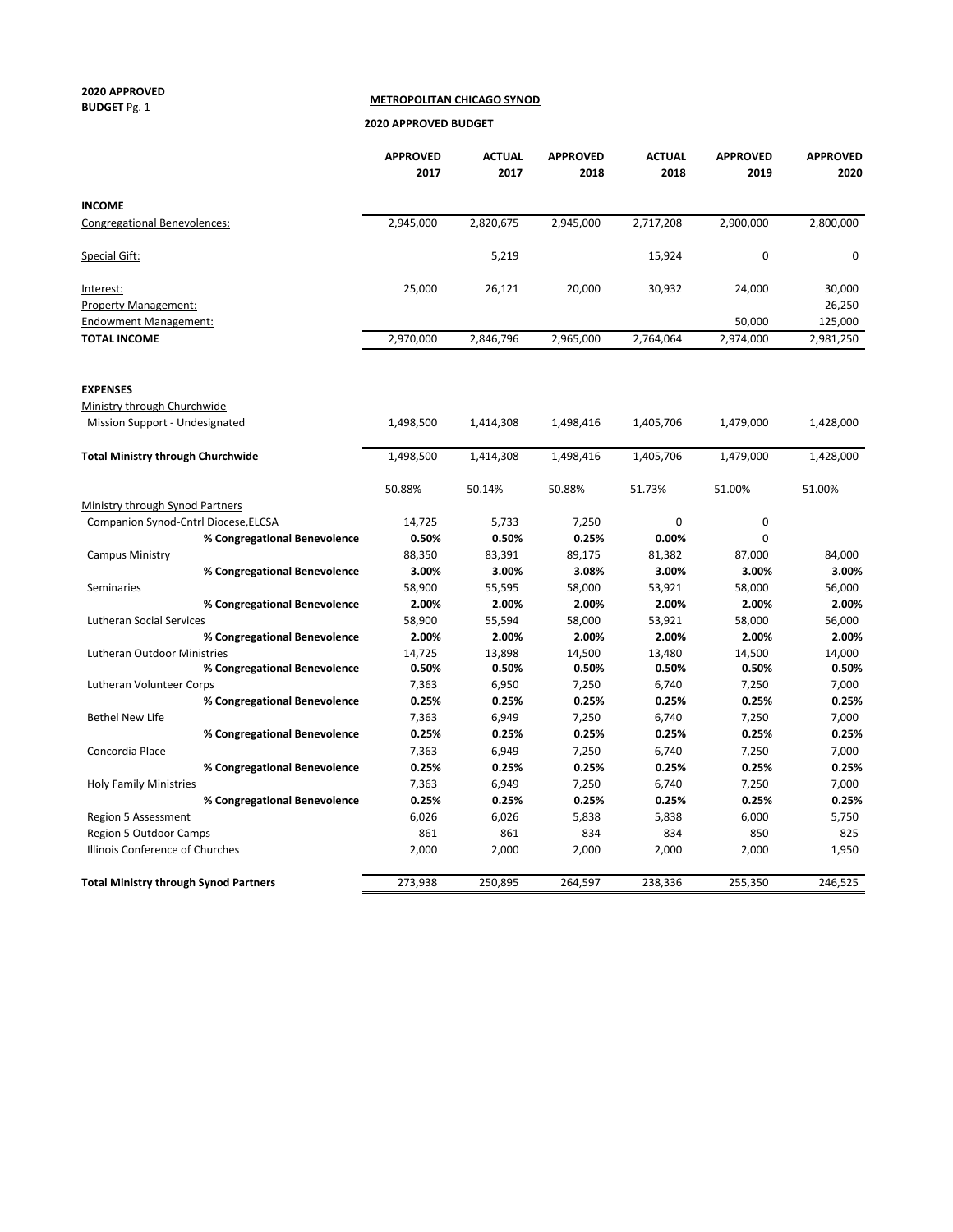#### **2020 APPROVED BUDGET** Pg. 1

 **METROPOLITAN CHICAGO SYNOD**

 **2020 APPROVED BUDGET**

|                                              | <b>APPROVED</b><br>2017 | <b>ACTUAL</b><br>2017 | <b>APPROVED</b><br>2018 | <b>ACTUAL</b><br>2018 | <b>APPROVED</b><br>2019 | <b>APPROVED</b><br>2020 |
|----------------------------------------------|-------------------------|-----------------------|-------------------------|-----------------------|-------------------------|-------------------------|
| <b>INCOME</b>                                |                         |                       |                         |                       |                         |                         |
| <b>Congregational Benevolences:</b>          | 2,945,000               | 2,820,675             | 2,945,000               | 2,717,208             | 2,900,000               | 2,800,000               |
| Special Gift:                                |                         | 5,219                 |                         | 15,924                | $\mathbf 0$             | 0                       |
| Interest:                                    | 25,000                  | 26,121                | 20,000                  | 30,932                | 24,000                  | 30,000                  |
| <b>Property Management:</b>                  |                         |                       |                         |                       |                         | 26,250                  |
| <b>Endowment Management:</b>                 |                         |                       |                         |                       | 50,000                  | 125,000                 |
| <b>TOTAL INCOME</b>                          | 2,970,000               | 2,846,796             | 2,965,000               | 2,764,064             | 2,974,000               | 2,981,250               |
| <b>EXPENSES</b>                              |                         |                       |                         |                       |                         |                         |
| Ministry through Churchwide                  |                         |                       |                         |                       |                         |                         |
| Mission Support - Undesignated               | 1,498,500               | 1,414,308             | 1,498,416               | 1,405,706             | 1,479,000               | 1,428,000               |
| <b>Total Ministry through Churchwide</b>     | 1,498,500               | 1,414,308             | 1,498,416               | 1,405,706             | 1,479,000               | 1,428,000               |
|                                              | 50.88%                  | 50.14%                | 50.88%                  | 51.73%                | 51.00%                  | 51.00%                  |
| Ministry through Synod Partners              |                         |                       |                         |                       |                         |                         |
| Companion Synod-Cntrl Diocese, ELCSA         | 14,725                  | 5,733                 | 7,250                   | 0                     | 0                       |                         |
| % Congregational Benevolence                 | 0.50%                   | 0.50%                 | 0.25%                   | 0.00%                 | 0                       |                         |
| <b>Campus Ministry</b>                       | 88,350                  | 83,391                | 89,175                  | 81,382                | 87,000                  | 84,000                  |
| % Congregational Benevolence                 | 3.00%                   | 3.00%                 | 3.08%                   | 3.00%                 | 3.00%                   | 3.00%                   |
| Seminaries                                   | 58,900                  | 55,595                | 58,000                  | 53,921                | 58,000                  | 56,000                  |
| % Congregational Benevolence                 | 2.00%                   | 2.00%                 | 2.00%                   | 2.00%                 | 2.00%                   | 2.00%                   |
| <b>Lutheran Social Services</b>              | 58,900                  | 55,594                | 58,000                  | 53,921                | 58,000                  | 56,000                  |
| % Congregational Benevolence                 | 2.00%                   | 2.00%                 | 2.00%                   | 2.00%                 | 2.00%                   | 2.00%                   |
| Lutheran Outdoor Ministries                  | 14,725                  | 13,898                | 14,500                  | 13,480                | 14,500                  | 14,000                  |
| % Congregational Benevolence                 | 0.50%                   | 0.50%                 | 0.50%                   | 0.50%                 | 0.50%                   | 0.50%                   |
| Lutheran Volunteer Corps                     | 7,363                   | 6,950                 | 7,250                   | 6,740                 | 7,250                   | 7,000                   |
| % Congregational Benevolence                 | 0.25%                   | 0.25%                 | 0.25%                   | 0.25%                 | 0.25%                   | 0.25%                   |
| <b>Bethel New Life</b>                       | 7,363                   | 6,949                 | 7,250                   | 6,740                 | 7,250                   | 7,000                   |
| % Congregational Benevolence                 | 0.25%                   | 0.25%                 | 0.25%                   | 0.25%                 | 0.25%                   | 0.25%                   |
| Concordia Place                              | 7,363                   | 6,949                 | 7,250                   | 6,740                 | 7,250                   | 7,000                   |
| % Congregational Benevolence                 | 0.25%                   | 0.25%                 | 0.25%                   | 0.25%                 | 0.25%                   | 0.25%                   |
| <b>Holy Family Ministries</b>                | 7,363                   | 6,949                 | 7,250                   | 6,740                 | 7,250                   | 7,000                   |
| % Congregational Benevolence                 | 0.25%                   | 0.25%                 | 0.25%                   | 0.25%                 | 0.25%                   | 0.25%                   |
| Region 5 Assessment                          | 6,026                   | 6,026                 | 5,838                   | 5,838                 | 6,000                   | 5,750                   |
| Region 5 Outdoor Camps                       | 861                     | 861                   | 834                     | 834                   | 850                     | 825                     |
| Illinois Conference of Churches              | 2,000                   | 2,000                 | 2,000                   | 2,000                 | 2,000                   | 1,950                   |
| <b>Total Ministry through Synod Partners</b> | 273,938                 | 250,895               | 264,597                 | 238,336               | 255,350                 | 246,525                 |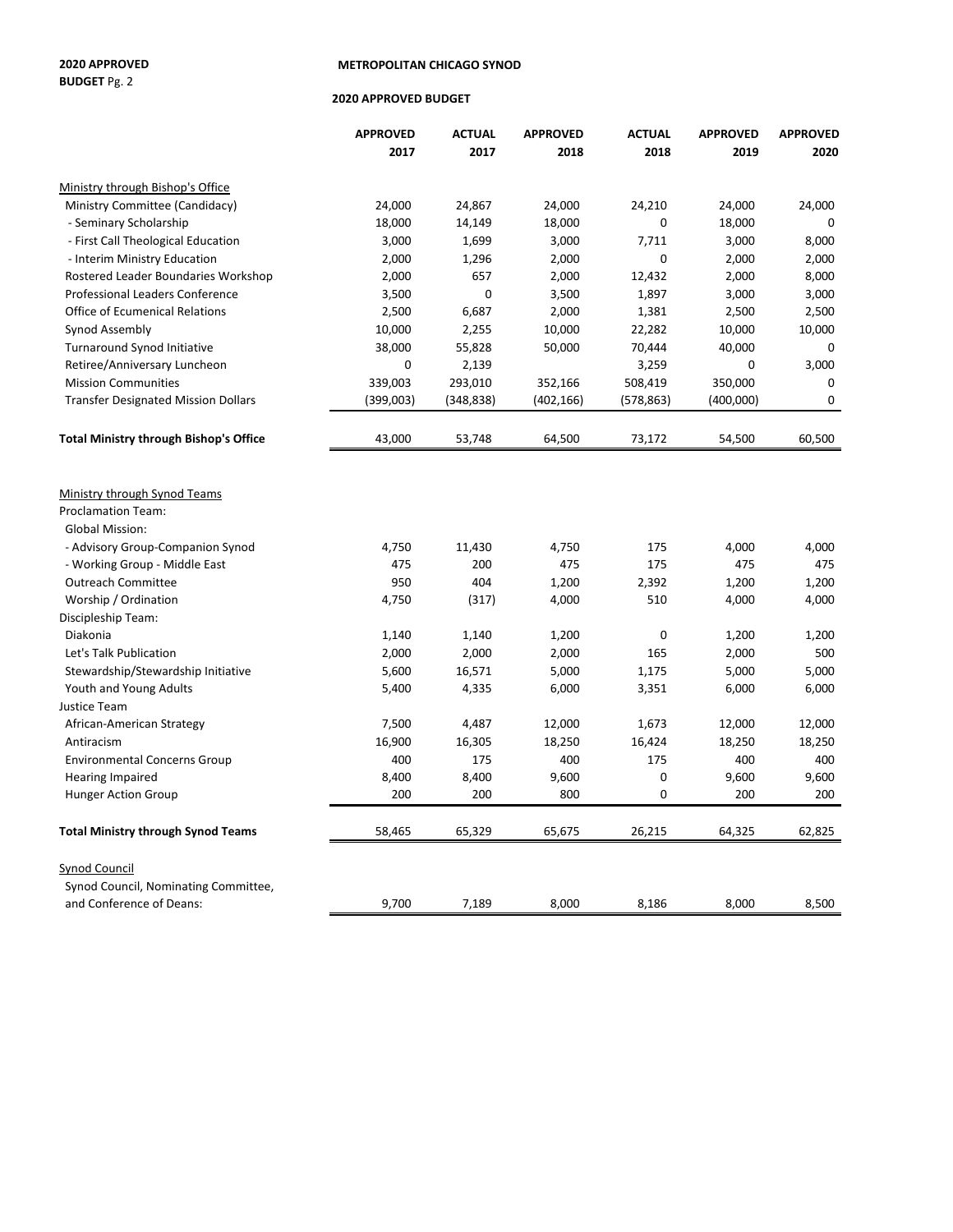# **BUDGET** Pg. 2

#### **2020 APPROVED METROPOLITAN CHICAGO SYNOD**

#### **2020 APPROVED BUDGET**

|                                               | <b>APPROVED</b> | <b>ACTUAL</b> | <b>APPROVED</b> | <b>ACTUAL</b> | <b>APPROVED</b> | <b>APPROVED</b> |
|-----------------------------------------------|-----------------|---------------|-----------------|---------------|-----------------|-----------------|
|                                               | 2017            | 2017          | 2018            | 2018          | 2019            | 2020            |
| Ministry through Bishop's Office              |                 |               |                 |               |                 |                 |
| Ministry Committee (Candidacy)                | 24,000          | 24,867        | 24,000          | 24,210        | 24,000          | 24,000          |
| - Seminary Scholarship                        | 18,000          | 14,149        | 18,000          | 0             | 18,000          | 0               |
| - First Call Theological Education            | 3,000           | 1,699         | 3,000           | 7,711         | 3,000           | 8,000           |
| - Interim Ministry Education                  | 2,000           | 1,296         | 2,000           | 0             | 2,000           | 2,000           |
| Rostered Leader Boundaries Workshop           | 2,000           | 657           | 2,000           | 12,432        | 2,000           | 8,000           |
| <b>Professional Leaders Conference</b>        | 3,500           | 0             | 3,500           | 1,897         | 3,000           | 3,000           |
| <b>Office of Ecumenical Relations</b>         | 2,500           | 6,687         | 2,000           | 1,381         | 2,500           | 2,500           |
| Synod Assembly                                | 10,000          | 2,255         | 10,000          | 22,282        | 10,000          | 10,000          |
| Turnaround Synod Initiative                   | 38,000          | 55,828        | 50,000          | 70,444        | 40,000          | 0               |
| Retiree/Anniversary Luncheon                  | 0               | 2,139         |                 | 3,259         | 0               | 3,000           |
| <b>Mission Communities</b>                    | 339,003         | 293,010       | 352,166         | 508,419       | 350,000         | 0               |
| <b>Transfer Designated Mission Dollars</b>    | (399,003)       | (348, 838)    | (402, 166)      | (578, 863)    | (400,000)       | 0               |
| <b>Total Ministry through Bishop's Office</b> | 43,000          | 53,748        | 64,500          | 73,172        | 54,500          | 60,500          |
| Ministry through Synod Teams                  |                 |               |                 |               |                 |                 |
| <b>Proclamation Team:</b>                     |                 |               |                 |               |                 |                 |
| <b>Global Mission:</b>                        |                 |               |                 |               |                 |                 |
| - Advisory Group-Companion Synod              | 4,750           | 11,430        | 4,750           | 175           | 4,000           | 4,000           |
| - Working Group - Middle East                 | 475             | 200           | 475             | 175           | 475             | 475             |
| <b>Outreach Committee</b>                     | 950             | 404           | 1,200           | 2,392         | 1,200           | 1,200           |
| Worship / Ordination                          | 4,750           | (317)         | 4,000           | 510           | 4,000           | 4,000           |
| Discipleship Team:                            |                 |               |                 |               |                 |                 |
| Diakonia                                      | 1,140           | 1,140         | 1,200           | 0             | 1,200           | 1,200           |
| Let's Talk Publication                        | 2,000           | 2,000         | 2,000           | 165           | 2,000           | 500             |
| Stewardship/Stewardship Initiative            | 5,600           | 16,571        | 5,000           | 1,175         | 5,000           | 5,000           |
| Youth and Young Adults                        | 5,400           | 4,335         | 6,000           | 3,351         | 6,000           | 6,000           |
| <b>Justice Team</b>                           |                 |               |                 |               |                 |                 |
| African-American Strategy                     | 7,500           | 4,487         | 12,000          | 1,673         | 12,000          | 12,000          |
| Antiracism                                    | 16,900          | 16,305        | 18,250          | 16,424        | 18,250          | 18,250          |
| <b>Environmental Concerns Group</b>           | 400             | 175           | 400             | 175           | 400             | 400             |
| <b>Hearing Impaired</b>                       | 8,400           | 8,400         | 9,600           | 0             | 9,600           | 9,600           |
| <b>Hunger Action Group</b>                    | 200             | 200           | 800             | 0             | 200             | 200             |
| <b>Total Ministry through Synod Teams</b>     | 58,465          | 65,329        | 65,675          | 26,215        | 64,325          | 62,825          |
| <b>Synod Council</b>                          |                 |               |                 |               |                 |                 |
| Synod Council, Nominating Committee,          |                 |               |                 |               |                 |                 |
| and Conference of Deans:                      | 9,700           | 7,189         | 8,000           | 8,186         | 8,000           | 8,500           |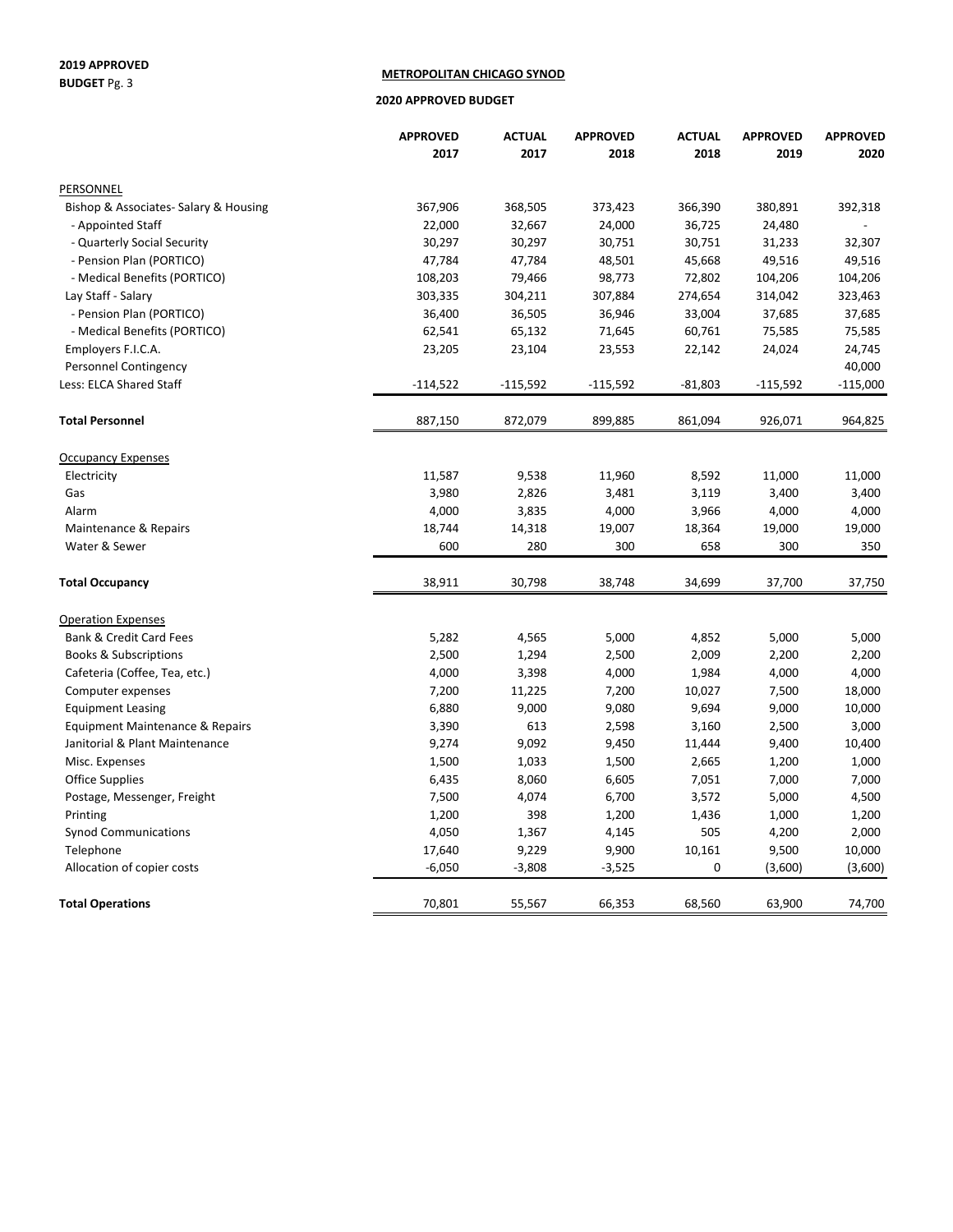#### **2019 APPROVED BUDGET** Pg. 3

#### **METROPOLITAN CHICAGO SYNOD**

#### **2020 APPROVED BUDGET**

|                                       | <b>APPROVED</b> | <b>ACTUAL</b>  | <b>APPROVED</b> | <b>ACTUAL</b>  | <b>APPROVED</b> | <b>APPROVED</b> |
|---------------------------------------|-----------------|----------------|-----------------|----------------|-----------------|-----------------|
|                                       | 2017            | 2017           | 2018            | 2018           | 2019            | 2020            |
| PERSONNEL                             |                 |                |                 |                |                 |                 |
| Bishop & Associates- Salary & Housing | 367,906         | 368,505        | 373,423         | 366,390        | 380,891         | 392,318         |
| - Appointed Staff                     | 22,000          | 32,667         | 24,000          | 36,725         | 24,480          |                 |
| - Quarterly Social Security           | 30,297          | 30,297         | 30,751          | 30,751         | 31,233          | 32,307          |
| - Pension Plan (PORTICO)              | 47,784          | 47,784         | 48,501          | 45,668         | 49,516          | 49,516          |
| - Medical Benefits (PORTICO)          | 108,203         | 79,466         | 98,773          | 72,802         | 104,206         | 104,206         |
| Lay Staff - Salary                    | 303,335         | 304,211        | 307,884         | 274,654        | 314,042         | 323,463         |
| - Pension Plan (PORTICO)              | 36,400          | 36,505         | 36,946          | 33,004         | 37,685          | 37,685          |
| - Medical Benefits (PORTICO)          | 62,541          | 65,132         | 71,645          | 60,761         | 75,585          | 75,585          |
| Employers F.I.C.A.                    | 23,205          | 23,104         | 23,553          | 22,142         | 24,024          | 24,745          |
| Personnel Contingency                 |                 |                |                 |                |                 | 40,000          |
| Less: ELCA Shared Staff               | $-114,522$      | $-115,592$     | $-115,592$      | $-81,803$      | $-115,592$      | $-115,000$      |
| <b>Total Personnel</b>                | 887,150         | 872,079        | 899,885         | 861,094        | 926,071         | 964,825         |
|                                       |                 |                |                 |                |                 |                 |
| <b>Occupancy Expenses</b>             | 11,587          |                |                 |                |                 | 11,000          |
| Electricity<br>Gas                    | 3,980           | 9,538<br>2,826 | 11,960<br>3,481 | 8,592          | 11,000<br>3,400 | 3,400           |
| Alarm                                 | 4,000           | 3,835          | 4,000           | 3,119<br>3,966 | 4,000           | 4,000           |
|                                       |                 |                |                 |                |                 |                 |
| Maintenance & Repairs                 | 18,744          | 14,318         | 19,007          | 18,364         | 19,000          | 19,000          |
| Water & Sewer                         | 600             | 280            | 300             | 658            | 300             | 350             |
| <b>Total Occupancy</b>                | 38,911          | 30,798         | 38,748          | 34,699         | 37,700          | 37,750          |
| <b>Operation Expenses</b>             |                 |                |                 |                |                 |                 |
| <b>Bank &amp; Credit Card Fees</b>    | 5,282           | 4,565          | 5,000           | 4,852          | 5,000           | 5,000           |
| <b>Books &amp; Subscriptions</b>      | 2,500           | 1,294          | 2,500           | 2,009          | 2,200           | 2,200           |
| Cafeteria (Coffee, Tea, etc.)         | 4,000           | 3,398          | 4,000           | 1,984          | 4,000           | 4,000           |
| Computer expenses                     | 7,200           | 11,225         | 7,200           | 10,027         | 7,500           | 18,000          |
| <b>Equipment Leasing</b>              | 6,880           | 9,000          | 9,080           | 9,694          | 9,000           | 10,000          |
| Equipment Maintenance & Repairs       | 3,390           | 613            | 2,598           | 3,160          | 2,500           | 3,000           |
| Janitorial & Plant Maintenance        | 9,274           | 9,092          | 9,450           | 11,444         | 9,400           | 10,400          |
| Misc. Expenses                        | 1,500           | 1,033          | 1,500           | 2,665          | 1,200           | 1,000           |
| <b>Office Supplies</b>                | 6,435           | 8,060          | 6,605           | 7,051          | 7,000           | 7,000           |
| Postage, Messenger, Freight           | 7,500           | 4,074          | 6,700           | 3,572          | 5,000           | 4,500           |
| Printing                              | 1,200           | 398            | 1,200           | 1,436          | 1,000           | 1,200           |
| <b>Synod Communications</b>           | 4,050           | 1,367          | 4,145           | 505            | 4,200           | 2,000           |
| Telephone                             | 17,640          | 9,229          | 9,900           | 10,161         | 9,500           | 10,000          |
| Allocation of copier costs            | $-6,050$        | $-3,808$       | $-3,525$        | 0              | (3,600)         | (3,600)         |
| <b>Total Operations</b>               | 70,801          | 55,567         | 66,353          | 68,560         | 63,900          | 74,700          |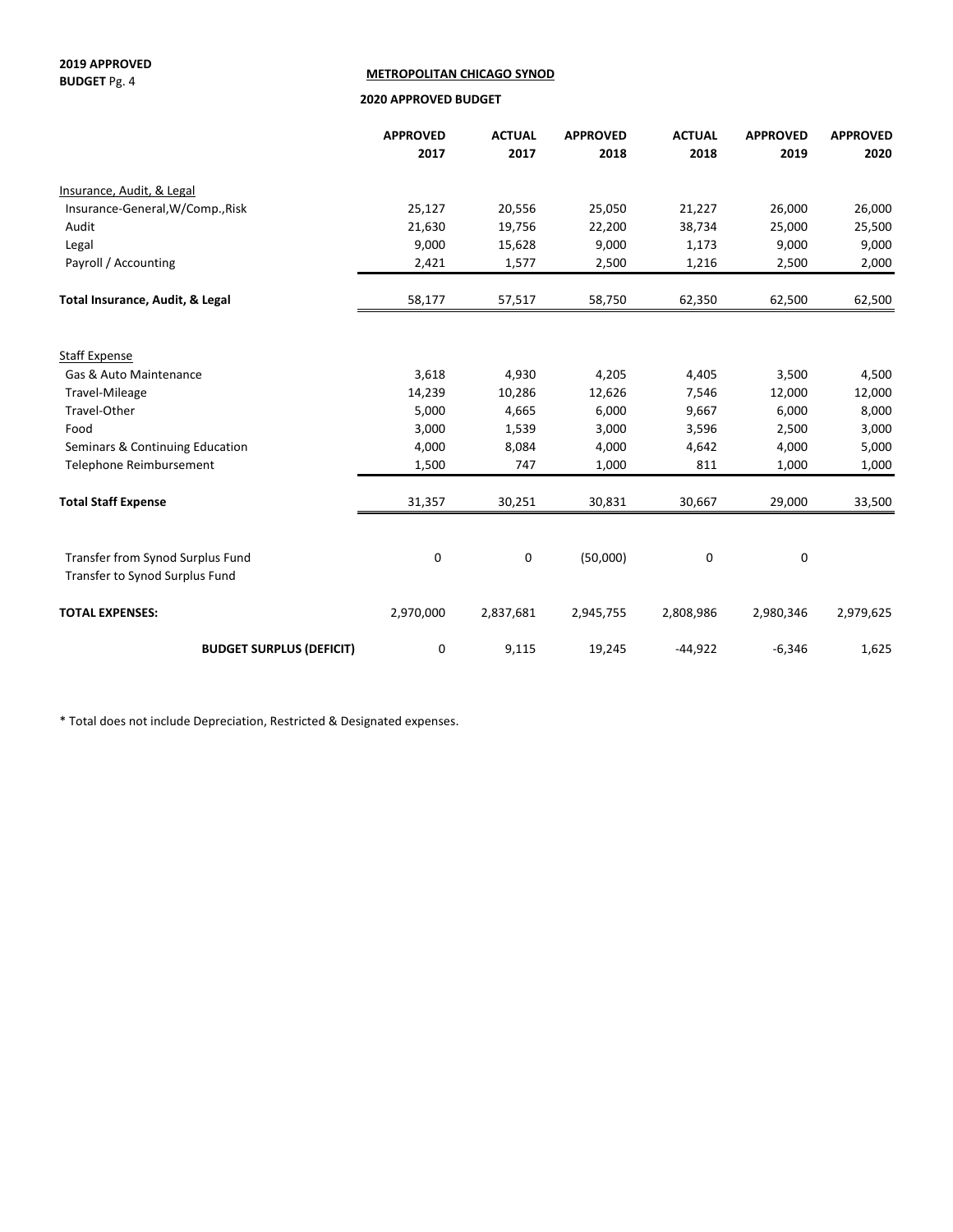**2019 APPROVED BUDGET** Pg. 4

#### **METROPOLITAN CHICAGO SYNOD**

 **2020 APPROVED BUDGET**

|                                                                    | <b>APPROVED</b> | <b>ACTUAL</b> | <b>APPROVED</b> | <b>ACTUAL</b> | <b>APPROVED</b> | <b>APPROVED</b> |
|--------------------------------------------------------------------|-----------------|---------------|-----------------|---------------|-----------------|-----------------|
|                                                                    | 2017            | 2017          | 2018            | 2018          | 2019            | 2020            |
| Insurance, Audit, & Legal                                          |                 |               |                 |               |                 |                 |
| Insurance-General, W/Comp., Risk                                   | 25,127          | 20,556        | 25,050          | 21,227        | 26,000          | 26,000          |
| Audit                                                              | 21,630          | 19,756        | 22,200          | 38,734        | 25,000          | 25,500          |
| Legal                                                              | 9,000           | 15,628        | 9,000           | 1,173         | 9,000           | 9,000           |
| Payroll / Accounting                                               | 2,421           | 1,577         | 2,500           | 1,216         | 2,500           | 2,000           |
| Total Insurance, Audit, & Legal                                    | 58,177          | 57,517        | 58,750          | 62,350        | 62,500          | 62,500          |
|                                                                    |                 |               |                 |               |                 |                 |
| <b>Staff Expense</b>                                               |                 |               |                 |               |                 |                 |
| Gas & Auto Maintenance                                             | 3,618           | 4,930         | 4,205           | 4,405         | 3,500           | 4,500           |
| Travel-Mileage                                                     | 14,239          | 10,286        | 12,626          | 7,546         | 12,000          | 12,000          |
| Travel-Other                                                       | 5,000           | 4,665         | 6,000           | 9,667         | 6,000           | 8,000           |
| Food                                                               | 3,000           | 1,539         | 3,000           | 3,596         | 2,500           | 3,000           |
| Seminars & Continuing Education                                    | 4,000           | 8,084         | 4,000           | 4,642         | 4,000           | 5,000           |
| Telephone Reimbursement                                            | 1,500           | 747           | 1,000           | 811           | 1,000           | 1,000           |
| <b>Total Staff Expense</b>                                         | 31,357          | 30,251        | 30,831          | 30,667        | 29,000          | 33,500          |
|                                                                    |                 |               |                 |               |                 |                 |
| Transfer from Synod Surplus Fund<br>Transfer to Synod Surplus Fund | 0               | 0             | (50,000)        | 0             | 0               |                 |
| <b>TOTAL EXPENSES:</b>                                             | 2,970,000       | 2,837,681     | 2,945,755       | 2,808,986     | 2,980,346       | 2,979,625       |
| <b>BUDGET SURPLUS (DEFICIT)</b>                                    | 0               | 9,115         | 19,245          | $-44,922$     | $-6,346$        | 1,625           |

\* Total does not include Depreciation, Restricted & Designated expenses.